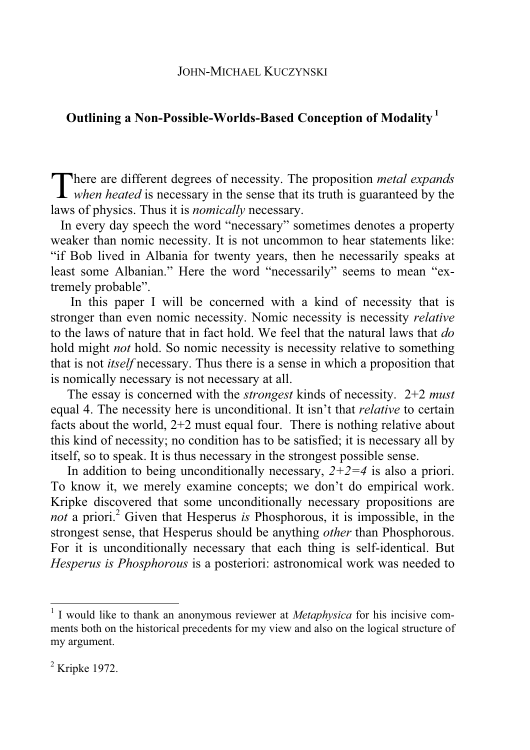# **Outlining a Non-Possible-Worlds-Based Conception of Modality 1**

There are different degrees of necessity. The proposition *metal expands* when heated is necessary in the sense that its truth is guaranteed by the *when heated* is necessary in the sense that its truth is guaranteed by the laws of physics. Thus it is *nomically* necessary.

 In every day speech the word "necessary" sometimes denotes a property weaker than nomic necessity. It is not uncommon to hear statements like: "if Bob lived in Albania for twenty years, then he necessarily speaks at least some Albanian." Here the word "necessarily" seems to mean "extremely probable".

 In this paper I will be concerned with a kind of necessity that is stronger than even nomic necessity. Nomic necessity is necessity *relative* to the laws of nature that in fact hold. We feel that the natural laws that *do* hold might *not* hold. So nomic necessity is necessity relative to something that is not *itself* necessary. Thus there is a sense in which a proposition that is nomically necessary is not necessary at all.

 The essay is concerned with the *strongest* kinds of necessity. 2+2 *must* equal 4. The necessity here is unconditional. It isn't that *relative* to certain facts about the world, 2+2 must equal four. There is nothing relative about this kind of necessity; no condition has to be satisfied; it is necessary all by itself, so to speak. It is thus necessary in the strongest possible sense.

In addition to being unconditionally necessary,  $2+2=4$  is also a priori. To know it, we merely examine concepts; we don't do empirical work. Kripke discovered that some unconditionally necessary propositions are not a priori.<sup>2</sup> Given that Hesperus *is* Phosphorous, it is impossible, in the strongest sense, that Hesperus should be anything *other* than Phosphorous. For it is unconditionally necessary that each thing is self-identical. But *Hesperus is Phosphorous* is a posteriori: astronomical work was needed to

<sup>&</sup>lt;sup>1</sup> I would like to thank an anonymous reviewer at *Metaphysica* for his incisive comments both on the historical precedents for my view and also on the logical structure of my argument.

 $2$  Kripke 1972.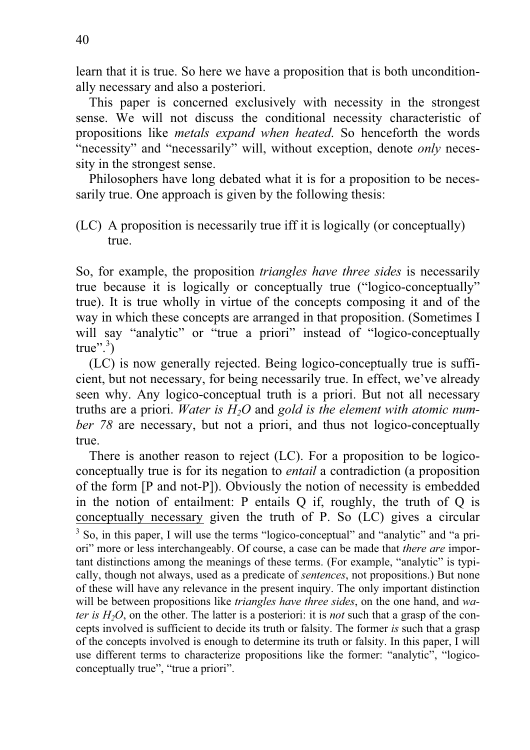learn that it is true. So here we have a proposition that is both unconditionally necessary and also a posteriori.

 This paper is concerned exclusively with necessity in the strongest sense. We will not discuss the conditional necessity characteristic of propositions like *metals expand when heated*. So henceforth the words "necessity" and "necessarily" will, without exception, denote *only* necessity in the strongest sense.

 Philosophers have long debated what it is for a proposition to be necessarily true. One approach is given by the following thesis:

So, for example, the proposition *triangles have three sides* is necessarily true because it is logically or conceptually true ("logico-conceptually" true). It is true wholly in virtue of the concepts composing it and of the way in which these concepts are arranged in that proposition. (Sometimes I will say "analytic" or "true a priori" instead of "logico-conceptually true". $3)$ 

 (LC) is now generally rejected. Being logico-conceptually true is sufficient, but not necessary, for being necessarily true. In effect, we've already seen why. Any logico-conceptual truth is a priori. But not all necessary truths are a priori. *Water is H2O* and *gold is the element with atomic number 78* are necessary, but not a priori, and thus not logico-conceptually true.

 There is another reason to reject (LC). For a proposition to be logicoconceptually true is for its negation to *entail* a contradiction (a proposition of the form [P and not-P]). Obviously the notion of necessity is embedded in the notion of entailment: P entails Q if, roughly, the truth of Q is conceptually necessary given the truth of P. So (LC) gives a circular <sup>3</sup> So, in this paper, I will use the terms "logico-conceptual" and "analytic" and "a priori" more or less interchangeably. Of course, a case can be made that *there are* important distinctions among the meanings of these terms. (For example, "analytic" is typically, though not always, used as a predicate of *sentences*, not propositions.) But none of these will have any relevance in the present inquiry. The only important distinction will be between propositions like *triangles have three sides*, on the one hand, and *water is H2O*, on the other. The latter is a posteriori: it is *not* such that a grasp of the concepts involved is sufficient to decide its truth or falsity. The former *is* such that a grasp of the concepts involved is enough to determine its truth or falsity. In this paper, I will use different terms to characterize propositions like the former: "analytic", "logicoconceptually true", "true a priori".

<sup>(</sup>LC) A proposition is necessarily true iff it is logically (or conceptually) true.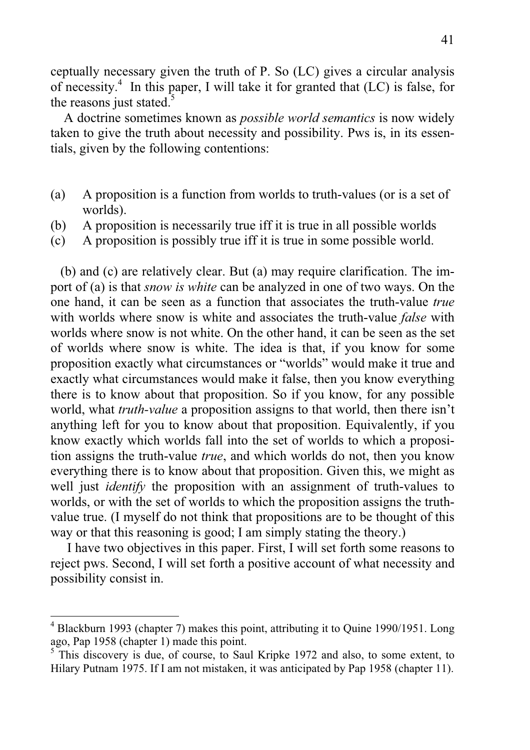ceptually necessary given the truth of P. So (LC) gives a circular analysis of necessity.<sup>4</sup> In this paper, I will take it for granted that (LC) is false, for the reasons just stated.<sup>5</sup>

 A doctrine sometimes known as *possible world semantics* is now widely taken to give the truth about necessity and possibility. Pws is, in its essentials, given by the following contentions:

- (a) A proposition is a function from worlds to truth-values (or is a set of worlds).
- (b) A proposition is necessarily true iff it is true in all possible worlds
- (c) A proposition is possibly true iff it is true in some possible world.

 (b) and (c) are relatively clear. But (a) may require clarification. The import of (a) is that *snow is white* can be analyzed in one of two ways. On the one hand, it can be seen as a function that associates the truth-value *true* with worlds where snow is white and associates the truth-value *false* with worlds where snow is not white. On the other hand, it can be seen as the set of worlds where snow is white. The idea is that, if you know for some proposition exactly what circumstances or "worlds" would make it true and exactly what circumstances would make it false, then you know everything there is to know about that proposition. So if you know, for any possible world, what *truth-value* a proposition assigns to that world, then there isn't anything left for you to know about that proposition. Equivalently, if you know exactly which worlds fall into the set of worlds to which a proposition assigns the truth-value *true*, and which worlds do not, then you know everything there is to know about that proposition. Given this, we might as well just *identify* the proposition with an assignment of truth-values to worlds, or with the set of worlds to which the proposition assigns the truthvalue true. (I myself do not think that propositions are to be thought of this way or that this reasoning is good; I am simply stating the theory.)

 I have two objectives in this paper. First, I will set forth some reasons to reject pws. Second, I will set forth a positive account of what necessity and possibility consist in.

<sup>&</sup>lt;sup>4</sup> Blackburn 1993 (chapter 7) makes this point, attributing it to Quine 1990/1951. Long ago, Pap 1958 (chapter 1) made this point.

<sup>&</sup>lt;sup>5</sup> This discovery is due, of course, to Saul Kripke 1972 and also, to some extent, to Hilary Putnam 1975. If I am not mistaken, it was anticipated by Pap 1958 (chapter 11).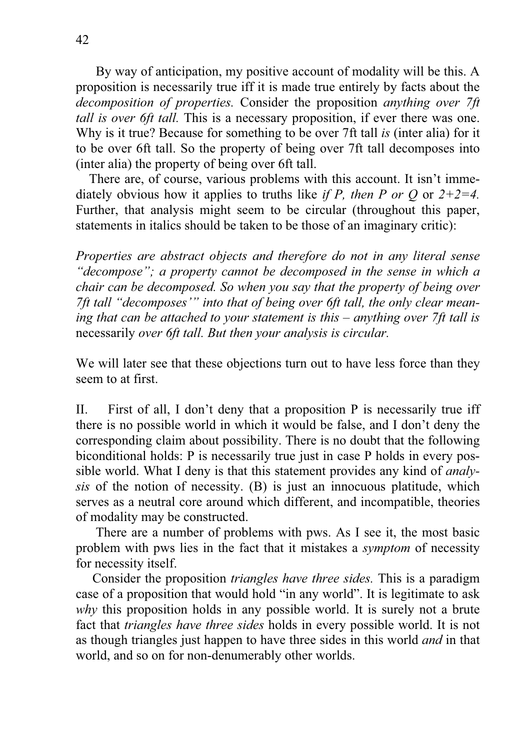By way of anticipation, my positive account of modality will be this. A proposition is necessarily true iff it is made true entirely by facts about the *decomposition of properties.* Consider the proposition *anything over 7ft tall is over 6ft tall.* This is a necessary proposition, if ever there was one. Why is it true? Because for something to be over 7ft tall *is* (inter alia) for it to be over 6ft tall. So the property of being over 7ft tall decomposes into (inter alia) the property of being over 6ft tall.

 There are, of course, various problems with this account. It isn't immediately obvious how it applies to truths like *if P, then P or Q* or *2+2=4.*  Further, that analysis might seem to be circular (throughout this paper, statements in italics should be taken to be those of an imaginary critic):

*Properties are abstract objects and therefore do not in any literal sense "decompose"; a property cannot be decomposed in the sense in which a chair can be decomposed. So when you say that the property of being over 7ft tall "decomposes'" into that of being over 6ft tall, the only clear meaning that can be attached to your statement is this – anything over 7ft tall is*  necessarily *over 6ft tall. But then your analysis is circular.*

We will later see that these objections turn out to have less force than they seem to at first.

II. First of all, I don't deny that a proposition P is necessarily true iff there is no possible world in which it would be false, and I don't deny the corresponding claim about possibility. There is no doubt that the following biconditional holds: P is necessarily true just in case P holds in every possible world. What I deny is that this statement provides any kind of *analysis* of the notion of necessity. (B) is just an innocuous platitude, which serves as a neutral core around which different, and incompatible, theories of modality may be constructed.

 There are a number of problems with pws. As I see it, the most basic problem with pws lies in the fact that it mistakes a *symptom* of necessity for necessity itself.

 Consider the proposition *triangles have three sides.* This is a paradigm case of a proposition that would hold "in any world". It is legitimate to ask *why* this proposition holds in any possible world. It is surely not a brute fact that *triangles have three sides* holds in every possible world. It is not as though triangles just happen to have three sides in this world *and* in that world, and so on for non-denumerably other worlds.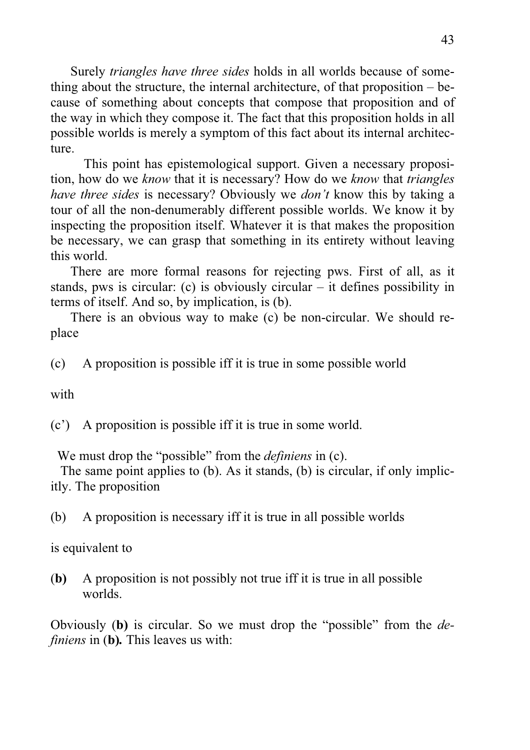Surely *triangles have three sides* holds in all worlds because of something about the structure, the internal architecture, of that proposition – because of something about concepts that compose that proposition and of the way in which they compose it. The fact that this proposition holds in all possible worlds is merely a symptom of this fact about its internal architecture.

 This point has epistemological support. Given a necessary proposition, how do we *know* that it is necessary? How do we *know* that *triangles have three sides* is necessary? Obviously we *don't* know this by taking a tour of all the non-denumerably different possible worlds. We know it by inspecting the proposition itself. Whatever it is that makes the proposition be necessary, we can grasp that something in its entirety without leaving this world.

 There are more formal reasons for rejecting pws. First of all, as it stands, pws is circular: (c) is obviously circular – it defines possibility in terms of itself. And so, by implication, is (b).

 There is an obvious way to make (c) be non-circular. We should replace

(c) A proposition is possible iff it is true in some possible world

with

(c') A proposition is possible iff it is true in some world.

We must drop the "possible" from the *definiens* in (c).

 The same point applies to (b). As it stands, (b) is circular, if only implicitly. The proposition

(b) A proposition is necessary iff it is true in all possible worlds

is equivalent to

(**b)** A proposition is not possibly not true iff it is true in all possible worlds.

Obviously (**b)** is circular. So we must drop the "possible" from the *definiens* in (**b)***.* This leaves us with: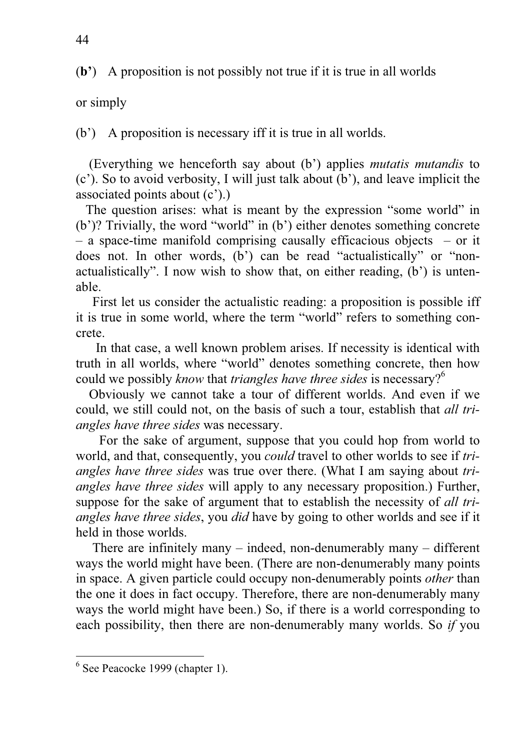(**b'**) A proposition is not possibly not true if it is true in all worlds

# or simply

(b') A proposition is necessary iff it is true in all worlds.

 (Everything we henceforth say about (b') applies *mutatis mutandis* to (c'). So to avoid verbosity, I will just talk about (b'), and leave implicit the associated points about (c').)

 The question arises: what is meant by the expression "some world" in (b')? Trivially, the word "world" in (b') either denotes something concrete – a space-time manifold comprising causally efficacious objects – or it does not. In other words, (b') can be read "actualistically" or "nonactualistically". I now wish to show that, on either reading, (b') is untenable.

 First let us consider the actualistic reading: a proposition is possible iff it is true in some world, where the term "world" refers to something concrete.

 In that case, a well known problem arises. If necessity is identical with truth in all worlds, where "world" denotes something concrete, then how could we possibly *know* that *triangles have three sides* is necessary?<sup>6</sup>

 Obviously we cannot take a tour of different worlds. And even if we could, we still could not, on the basis of such a tour, establish that *all triangles have three sides* was necessary.

 For the sake of argument, suppose that you could hop from world to world, and that, consequently, you *could* travel to other worlds to see if *triangles have three sides* was true over there. (What I am saying about *triangles have three sides* will apply to any necessary proposition.) Further, suppose for the sake of argument that to establish the necessity of *all triangles have three sides*, you *did* have by going to other worlds and see if it held in those worlds.

There are infinitely many  $-$  indeed, non-denumerably many  $-$  different ways the world might have been. (There are non-denumerably many points in space. A given particle could occupy non-denumerably points *other* than the one it does in fact occupy. Therefore, there are non-denumerably many ways the world might have been.) So, if there is a world corresponding to each possibility, then there are non-denumerably many worlds. So *if* you

 $<sup>6</sup>$  See Peacocke 1999 (chapter 1).</sup>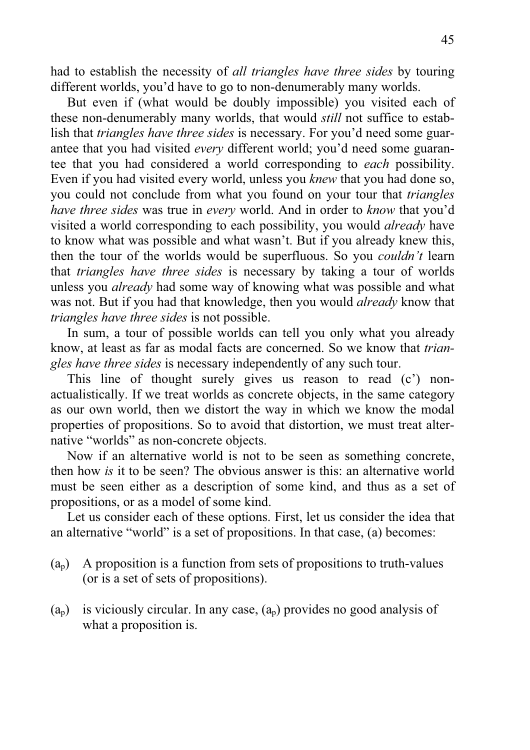had to establish the necessity of *all triangles have three sides* by touring different worlds, you'd have to go to non-denumerably many worlds.

 But even if (what would be doubly impossible) you visited each of these non-denumerably many worlds, that would *still* not suffice to establish that *triangles have three sides* is necessary. For you'd need some guarantee that you had visited *every* different world; you'd need some guarantee that you had considered a world corresponding to *each* possibility. Even if you had visited every world, unless you *knew* that you had done so, you could not conclude from what you found on your tour that *triangles have three sides* was true in *every* world. And in order to *know* that you'd visited a world corresponding to each possibility, you would *already* have to know what was possible and what wasn't. But if you already knew this, then the tour of the worlds would be superfluous. So you *couldn't* learn that *triangles have three sides* is necessary by taking a tour of worlds unless you *already* had some way of knowing what was possible and what was not. But if you had that knowledge, then you would *already* know that *triangles have three sides* is not possible.

 In sum, a tour of possible worlds can tell you only what you already know, at least as far as modal facts are concerned. So we know that *triangles have three sides* is necessary independently of any such tour.

 This line of thought surely gives us reason to read (c') nonactualistically. If we treat worlds as concrete objects, in the same category as our own world, then we distort the way in which we know the modal properties of propositions. So to avoid that distortion, we must treat alternative "worlds" as non-concrete objects.

 Now if an alternative world is not to be seen as something concrete, then how *is* it to be seen? The obvious answer is this: an alternative world must be seen either as a description of some kind, and thus as a set of propositions, or as a model of some kind.

 Let us consider each of these options. First, let us consider the idea that an alternative "world" is a set of propositions. In that case, (a) becomes:

- $(a_p)$  A proposition is a function from sets of propositions to truth-values (or is a set of sets of propositions).
- $(a_n)$  is viciously circular. In any case,  $(a_n)$  provides no good analysis of what a proposition is.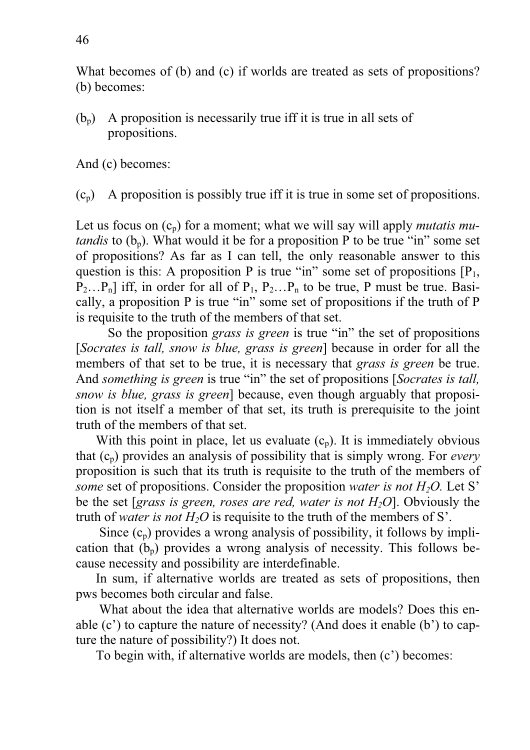What becomes of (b) and (c) if worlds are treated as sets of propositions? (b) becomes:

 $(b_n)$  A proposition is necessarily true iff it is true in all sets of propositions.

And (c) becomes:

 $(c_p)$  A proposition is possibly true iff it is true in some set of propositions.

Let us focus on  $(c_p)$  for a moment; what we will say will apply *mutatis mutandis* to  $(b_n)$ . What would it be for a proposition P to be true "in" some set of propositions? As far as I can tell, the only reasonable answer to this question is this: A proposition P is true "in" some set of propositions  $[P_1, P_2]$  $P_2...P_n$ ] iff, in order for all of  $P_1, P_2...P_n$  to be true, P must be true. Basically, a proposition P is true "in" some set of propositions if the truth of P is requisite to the truth of the members of that set.

So the proposition *grass is green* is true "in" the set of propositions [*Socrates is tall, snow is blue, grass is green*] because in order for all the members of that set to be true, it is necessary that *grass is green* be true. And *something is green* is true "in" the set of propositions [*Socrates is tall, snow is blue, grass is green*] because, even though arguably that proposition is not itself a member of that set, its truth is prerequisite to the joint truth of the members of that set.

With this point in place, let us evaluate  $(c_p)$ . It is immediately obvious that (cp) provides an analysis of possibility that is simply wrong. For *every* proposition is such that its truth is requisite to the truth of the members of *some* set of propositions. Consider the proposition *water is not H<sub>2</sub>O*. Let S<sup>*n*</sup> be the set [*grass is green, roses are red, water is not H2O*]. Obviously the truth of *water is not*  $H_2O$  is requisite to the truth of the members of S'.

Since  $(c_p)$  provides a wrong analysis of possibility, it follows by implication that  $(b_n)$  provides a wrong analysis of necessity. This follows because necessity and possibility are interdefinable.

 In sum, if alternative worlds are treated as sets of propositions, then pws becomes both circular and false.

 What about the idea that alternative worlds are models? Does this enable (c') to capture the nature of necessity? (And does it enable (b') to capture the nature of possibility?) It does not.

To begin with, if alternative worlds are models, then (c') becomes: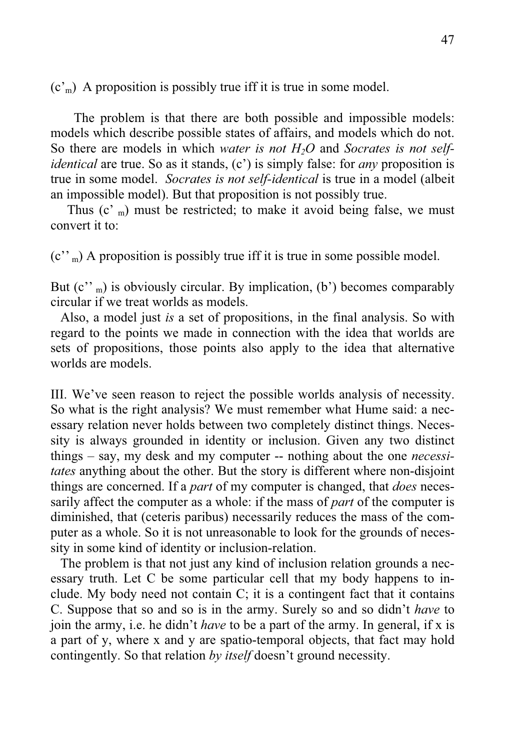$(c<sub>m</sub>)$  A proposition is possibly true iff it is true in some model.

 The problem is that there are both possible and impossible models: models which describe possible states of affairs, and models which do not. So there are models in which *water is not H2O* and *Socrates is not selfidentical* are true. So as it stands, (c') is simply false: for *any* proposition is true in some model. *Socrates is not self-identical* is true in a model (albeit an impossible model). But that proposition is not possibly true.

Thus  $(c<sup>r</sup>)$  must be restricted; to make it avoid being false, we must convert it to:

 $(c''_m)$  A proposition is possibly true iff it is true in some possible model.

But  $(c''_m)$  is obviously circular. By implication, (b') becomes comparably circular if we treat worlds as models.

 Also, a model just *is* a set of propositions, in the final analysis. So with regard to the points we made in connection with the idea that worlds are sets of propositions, those points also apply to the idea that alternative worlds are models.

III. We've seen reason to reject the possible worlds analysis of necessity. So what is the right analysis? We must remember what Hume said: a necessary relation never holds between two completely distinct things. Necessity is always grounded in identity or inclusion. Given any two distinct things – say, my desk and my computer -- nothing about the one *necessitates* anything about the other. But the story is different where non-disjoint things are concerned. If a *part* of my computer is changed, that *does* necessarily affect the computer as a whole: if the mass of *part* of the computer is diminished, that (ceteris paribus) necessarily reduces the mass of the computer as a whole. So it is not unreasonable to look for the grounds of necessity in some kind of identity or inclusion-relation.

 The problem is that not just any kind of inclusion relation grounds a necessary truth. Let C be some particular cell that my body happens to include. My body need not contain C; it is a contingent fact that it contains C. Suppose that so and so is in the army. Surely so and so didn't *have* to join the army, i.e. he didn't *have* to be a part of the army. In general, if x is a part of y, where x and y are spatio-temporal objects, that fact may hold contingently. So that relation *by itself* doesn't ground necessity.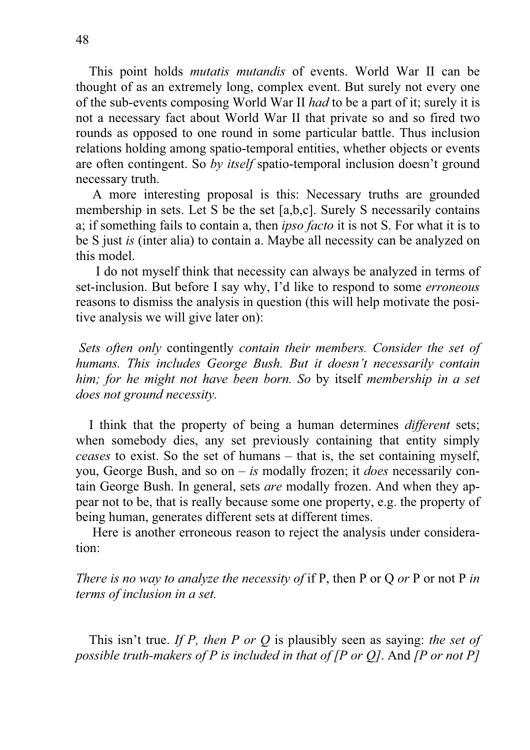This point holds *mutatis mutandis* of events. World War II can be thought of as an extremely long, complex event. But surely not every one of the sub-events composing World War II *had* to be a part of it; surely it is not a necessary fact about World War II that private so and so fired two rounds as opposed to one round in some particular battle. Thus inclusion relations holding among spatio-temporal entities, whether objects or events are often contingent. So *by itself* spatio-temporal inclusion doesn't ground necessary truth.

 A more interesting proposal is this: Necessary truths are grounded membership in sets. Let S be the set [a,b,c]. Surely S necessarily contains a; if something fails to contain a, then *ipso facto* it is not S. For what it is to be S just *is* (inter alia) to contain a. Maybe all necessity can be analyzed on this model.

 I do not myself think that necessity can always be analyzed in terms of set-inclusion. But before I say why, I'd like to respond to some *erroneous* reasons to dismiss the analysis in question (this will help motivate the positive analysis we will give later on):

 *Sets often only* contingently *contain their members. Consider the set of humans. This includes George Bush. But it doesn't necessarily contain him; for he might not have been born. So* by itself *membership in a set does not ground necessity.* 

 I think that the property of being a human determines *different* sets; when somebody dies, any set previously containing that entity simply *ceases* to exist. So the set of humans – that is, the set containing myself, you, George Bush, and so on – *is* modally frozen; it *does* necessarily contain George Bush. In general, sets *are* modally frozen. And when they appear not to be, that is really because some one property, e.g. the property of being human, generates different sets at different times.

 Here is another erroneous reason to reject the analysis under consideration:

*There is no way to analyze the necessity of* if P, then P or Q or P or not P in *terms of inclusion in a set.* 

 This isn't true. *If P, then P or Q* is plausibly seen as saying: *the set of possible truth-makers of P is included in that of [P or Q]*. And *[P or not P]*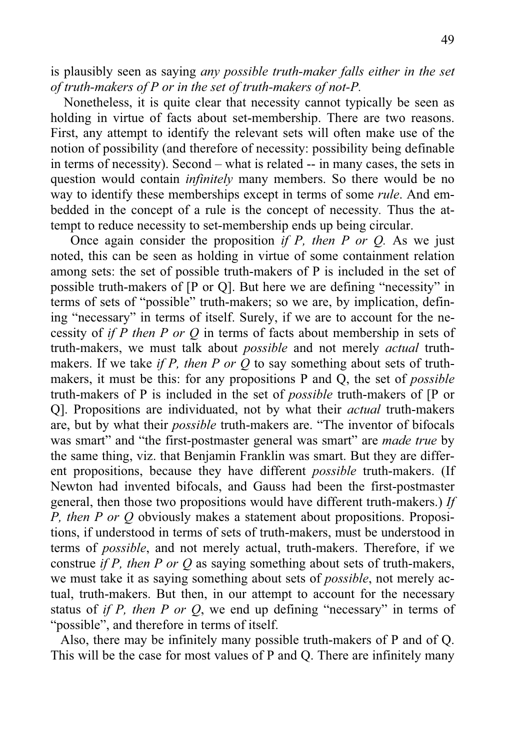is plausibly seen as saying *any possible truth-maker falls either in the set of truth-makers of P or in the set of truth-makers of not-P.* 

 Nonetheless, it is quite clear that necessity cannot typically be seen as holding in virtue of facts about set-membership. There are two reasons. First, any attempt to identify the relevant sets will often make use of the notion of possibility (and therefore of necessity: possibility being definable in terms of necessity). Second – what is related -- in many cases, the sets in question would contain *infinitely* many members. So there would be no way to identify these memberships except in terms of some *rule*. And embedded in the concept of a rule is the concept of necessity*.* Thus the attempt to reduce necessity to set-membership ends up being circular.

 Once again consider the proposition *if P, then P or Q.* As we just noted, this can be seen as holding in virtue of some containment relation among sets: the set of possible truth-makers of P is included in the set of possible truth-makers of [P or Q]. But here we are defining "necessity" in terms of sets of "possible" truth-makers; so we are, by implication, defining "necessary" in terms of itself. Surely, if we are to account for the necessity of *if P then P or Q* in terms of facts about membership in sets of truth-makers, we must talk about *possible* and not merely *actual* truthmakers. If we take *if P, then P or Q* to say something about sets of truthmakers, it must be this: for any propositions P and Q, the set of *possible* truth-makers of P is included in the set of *possible* truth-makers of [P or Q]. Propositions are individuated, not by what their *actual* truth-makers are, but by what their *possible* truth-makers are. "The inventor of bifocals was smart" and "the first-postmaster general was smart" are *made true* by the same thing, viz. that Benjamin Franklin was smart. But they are different propositions, because they have different *possible* truth-makers. (If Newton had invented bifocals, and Gauss had been the first-postmaster general, then those two propositions would have different truth-makers.) *If P, then P or Q* obviously makes a statement about propositions. Propositions, if understood in terms of sets of truth-makers, must be understood in terms of *possible*, and not merely actual, truth-makers. Therefore, if we construe *if P, then P or Q* as saying something about sets of truth-makers, we must take it as saying something about sets of *possible*, not merely actual, truth-makers. But then, in our attempt to account for the necessary status of *if P, then P or Q*, we end up defining "necessary" in terms of "possible", and therefore in terms of itself.

 Also, there may be infinitely many possible truth-makers of P and of Q. This will be the case for most values of P and Q. There are infinitely many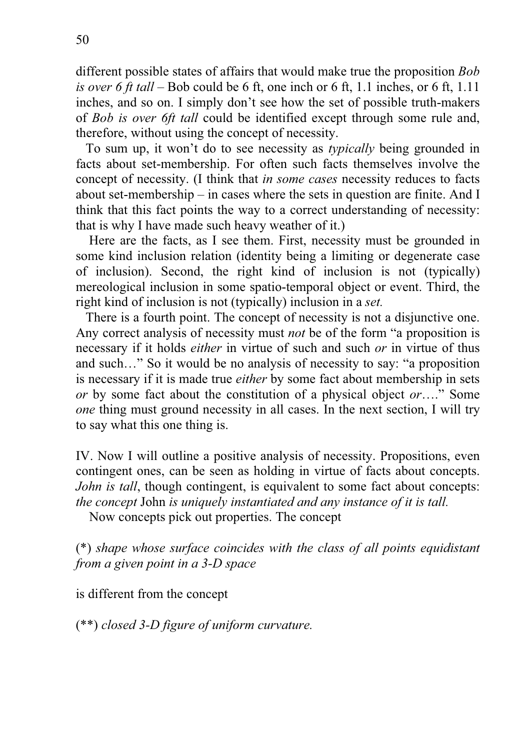different possible states of affairs that would make true the proposition *Bob is over 6 ft tall* – Bob could be 6 ft, one inch or 6 ft, 1.1 inches, or 6 ft, 1.11 inches, and so on. I simply don't see how the set of possible truth-makers of *Bob is over 6ft tall* could be identified except through some rule and, therefore, without using the concept of necessity.

 To sum up, it won't do to see necessity as *typically* being grounded in facts about set-membership. For often such facts themselves involve the concept of necessity. (I think that *in some cases* necessity reduces to facts about set-membership – in cases where the sets in question are finite. And I think that this fact points the way to a correct understanding of necessity: that is why I have made such heavy weather of it.)

 Here are the facts, as I see them. First, necessity must be grounded in some kind inclusion relation (identity being a limiting or degenerate case of inclusion). Second, the right kind of inclusion is not (typically) mereological inclusion in some spatio-temporal object or event. Third, the right kind of inclusion is not (typically) inclusion in a *set.*

There is a fourth point. The concept of necessity is not a disjunctive one. Any correct analysis of necessity must *not* be of the form "a proposition is necessary if it holds *either* in virtue of such and such *or* in virtue of thus and such…" So it would be no analysis of necessity to say: "a proposition is necessary if it is made true *either* by some fact about membership in sets *or* by some fact about the constitution of a physical object *or*…." Some *one* thing must ground necessity in all cases. In the next section, I will try to say what this one thing is.

IV. Now I will outline a positive analysis of necessity. Propositions, even contingent ones, can be seen as holding in virtue of facts about concepts. *John is tall*, though contingent, is equivalent to some fact about concepts: *the concept* John *is uniquely instantiated and any instance of it is tall.* 

Now concepts pick out properties. The concept

(\*) *shape whose surface coincides with the class of all points equidistant from a given point in a 3-D space*

is different from the concept

(\*\*) *closed 3-D figure of uniform curvature.*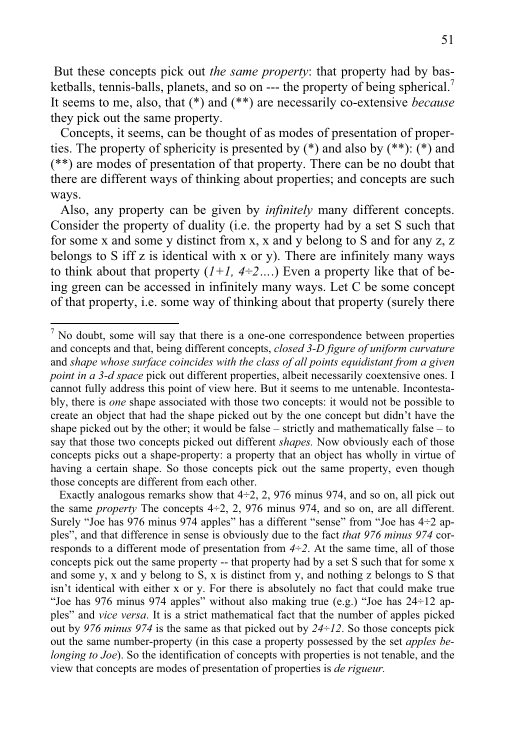But these concepts pick out *the same property*: that property had by basketballs, tennis-balls, planets, and so on --- the property of being spherical.<sup>7</sup> It seems to me, also, that (\*) and (\*\*) are necessarily co-extensive *because* they pick out the same property.

 Concepts, it seems, can be thought of as modes of presentation of properties. The property of sphericity is presented by  $(*)$  and also by  $(**)$ :  $(*)$  and (\*\*) are modes of presentation of that property. There can be no doubt that there are different ways of thinking about properties; and concepts are such ways.

 Also, any property can be given by *infinitely* many different concepts. Consider the property of duality (i.e. the property had by a set S such that for some x and some y distinct from x, x and y belong to S and for any z, z belongs to S iff z is identical with x or y). There are infinitely many ways to think about that property  $(1+1, 4+2,...)$  Even a property like that of being green can be accessed in infinitely many ways. Let C be some concept of that property, i.e. some way of thinking about that property (surely there

Exactly analogous remarks show that  $4\div 2$ , 2, 976 minus 974, and so on, all pick out the same *property* The concepts 4÷2, 2, 976 minus 974, and so on, are all different. Surely "Joe has 976 minus 974 apples" has a different "sense" from "Joe has  $4\div 2$  apples", and that difference in sense is obviously due to the fact *that 976 minus 974* corresponds to a different mode of presentation from  $4\div 2$ . At the same time, all of those concepts pick out the same property -- that property had by a set S such that for some x and some y, x and y belong to S, x is distinct from y, and nothing z belongs to S that isn't identical with either x or y. For there is absolutely no fact that could make true "Joe has 976 minus 974 apples" without also making true (e.g.) "Joe has 24÷12 apples" and *vice versa*. It is a strict mathematical fact that the number of apples picked out by *976 minus 974* is the same as that picked out by *24*÷*12*. So those concepts pick out the same number-property (in this case a property possessed by the set *apples belonging to Joe*). So the identification of concepts with properties is not tenable, and the view that concepts are modes of presentation of properties is *de rigueur.* 

 $<sup>7</sup>$  No doubt, some will say that there is a one-one correspondence between properties</sup> and concepts and that, being different concepts, *closed 3-D figure of uniform curvature*  and *shape whose surface coincides with the class of all points equidistant from a given point in a 3-d space* pick out different properties, albeit necessarily coextensive ones. I cannot fully address this point of view here. But it seems to me untenable. Incontestably, there is *one* shape associated with those two concepts: it would not be possible to create an object that had the shape picked out by the one concept but didn't have the shape picked out by the other; it would be false – strictly and mathematically false – to say that those two concepts picked out different *shapes.* Now obviously each of those concepts picks out a shape-property: a property that an object has wholly in virtue of having a certain shape. So those concepts pick out the same property, even though those concepts are different from each other.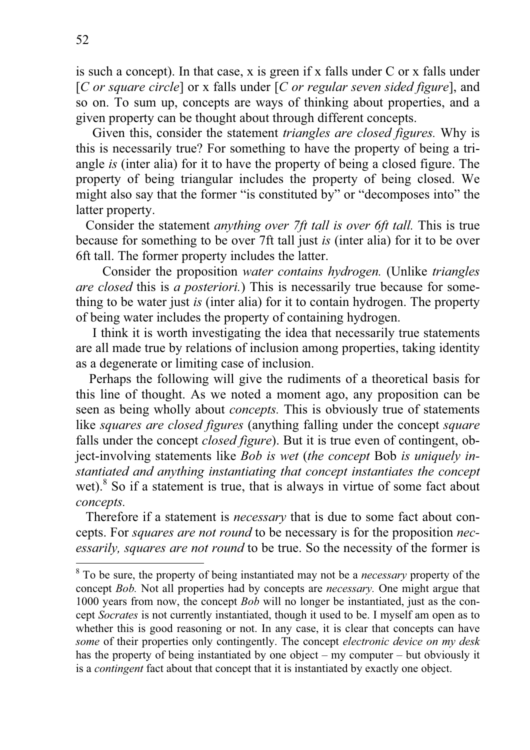is such a concept). In that case, x is green if x falls under C or x falls under [*C or square circle*] or x falls under [*C or regular seven sided figure*], and so on. To sum up, concepts are ways of thinking about properties, and a given property can be thought about through different concepts.

 Given this, consider the statement *triangles are closed figures.* Why is this is necessarily true? For something to have the property of being a triangle *is* (inter alia) for it to have the property of being a closed figure. The property of being triangular includes the property of being closed. We might also say that the former "is constituted by" or "decomposes into" the latter property.

 Consider the statement *anything over 7ft tall is over 6ft tall.* This is true because for something to be over 7ft tall just *is* (inter alia) for it to be over 6ft tall. The former property includes the latter.

 Consider the proposition *water contains hydrogen.* (Unlike *triangles are closed* this is *a posteriori.*) This is necessarily true because for something to be water just *is* (inter alia) for it to contain hydrogen. The property of being water includes the property of containing hydrogen.

 I think it is worth investigating the idea that necessarily true statements are all made true by relations of inclusion among properties, taking identity as a degenerate or limiting case of inclusion.

 Perhaps the following will give the rudiments of a theoretical basis for this line of thought. As we noted a moment ago, any proposition can be seen as being wholly about *concepts.* This is obviously true of statements like *squares are closed figures* (anything falling under the concept *square* falls under the concept *closed figure*). But it is true even of contingent, object-involving statements like *Bob is wet* (*the concept* Bob *is uniquely instantiated and anything instantiating that concept instantiates the concept*  wet).<sup>8</sup> So if a statement is true, that is always in virtue of some fact about *concepts.*

Therefore if a statement is *necessary* that is due to some fact about concepts. For *squares are not round* to be necessary is for the proposition *necessarily, squares are not round* to be true. So the necessity of the former is

<sup>8</sup> To be sure, the property of being instantiated may not be a *necessary* property of the concept *Bob.* Not all properties had by concepts are *necessary.* One might argue that 1000 years from now, the concept *Bob* will no longer be instantiated, just as the concept *Socrates* is not currently instantiated, though it used to be. I myself am open as to whether this is good reasoning or not. In any case, it is clear that concepts can have *some* of their properties only contingently. The concept *electronic device on my desk*  has the property of being instantiated by one object – my computer – but obviously it is a *contingent* fact about that concept that it is instantiated by exactly one object.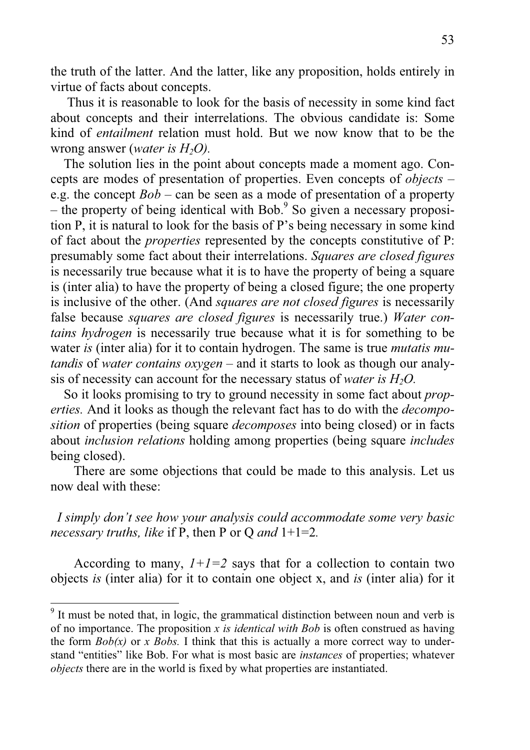the truth of the latter. And the latter, like any proposition, holds entirely in virtue of facts about concepts.

 Thus it is reasonable to look for the basis of necessity in some kind fact about concepts and their interrelations. The obvious candidate is: Some kind of *entailment* relation must hold. But we now know that to be the wrong answer (*water is H<sub>2</sub>O*).

 The solution lies in the point about concepts made a moment ago. Concepts are modes of presentation of properties. Even concepts of *objects* – e.g. the concept *Bob* – can be seen as a mode of presentation of a property – the property of being identical with Bob.<sup>9</sup> So given a necessary proposition P, it is natural to look for the basis of P's being necessary in some kind of fact about the *properties* represented by the concepts constitutive of P: presumably some fact about their interrelations. *Squares are closed figures*  is necessarily true because what it is to have the property of being a square is (inter alia) to have the property of being a closed figure; the one property is inclusive of the other. (And *squares are not closed figures* is necessarily false because *squares are closed figures* is necessarily true.) *Water contains hydrogen* is necessarily true because what it is for something to be water *is* (inter alia) for it to contain hydrogen. The same is true *mutatis mutandis* of *water contains oxygen –* and it starts to look as though our analysis of necessity can account for the necessary status of *water is H2O.*

 So it looks promising to try to ground necessity in some fact about *properties.* And it looks as though the relevant fact has to do with the *decomposition* of properties (being square *decomposes* into being closed) or in facts about *inclusion relations* holding among properties (being square *includes* being closed).

 There are some objections that could be made to this analysis. Let us now deal with these:

*I simply don't see how your analysis could accommodate some very basic necessary truths, like* if P, then P or Q *and* 1+1=2*.*

According to many,  $1+1=2$  says that for a collection to contain two objects *is* (inter alia) for it to contain one object x, and *is* (inter alia) for it

 $9$  It must be noted that, in logic, the grammatical distinction between noun and verb is of no importance. The proposition *x is identical with Bob* is often construed as having the form  $Bob(x)$  or *x Bobs.* I think that this is actually a more correct way to understand "entities" like Bob. For what is most basic are *instances* of properties; whatever *objects* there are in the world is fixed by what properties are instantiated.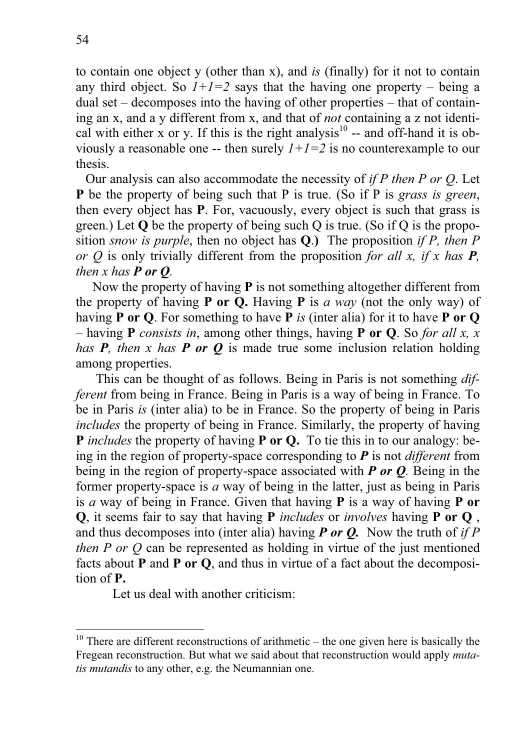to contain one object y (other than x), and *is* (finally) for it not to contain any third object. So  $1+1=2$  says that the having one property – being a dual set – decomposes into the having of other properties – that of containing an x, and a y different from x, and that of *not* containing a z not identical with either x or y. If this is the right analysis<sup>10</sup> -- and off-hand it is obviously a reasonable one -- then surely  $1+1=2$  is no counterexample to our thesis.

Our analysis can also accommodate the necessity of *if P then P or Q*. Let **P** be the property of being such that P is true. (So if P is *grass is green*, then every object has **P**. For, vacuously, every object is such that grass is green.) Let **Q** be the property of being such Q is true. (So if Q is the proposition *snow is purple*, then no object has **Q**.**)** The proposition *if P, then P or Q* is only trivially different from the proposition *for all x, if x has P, then x has P or*  $Q$ *.* 

 Now the property of having **P** is not something altogether different from the property of having **P or Q.** Having **P** is *a way* (not the only way) of having **P or Q**. For something to have **P** *is* (inter alia) for it to have **P or Q** – having **P** *consists in*, among other things, having **P or Q**. So *for all x, x has P, then x has P or Q* is made true some inclusion relation holding among properties.

This can be thought of as follows. Being in Paris is not something *different* from being in France. Being in Paris is a way of being in France. To be in Paris *is* (inter alia) to be in France. So the property of being in Paris *includes* the property of being in France. Similarly, the property of having **P** *includes* the property of having **P** or **Q**. To tie this in to our analogy: being in the region of property-space corresponding to *P* is not *different* from being in the region of property-space associated with *P or Q.* Being in the former property-space is *a* way of being in the latter, just as being in Paris is *a* way of being in France. Given that having **P** is a way of having **P or Q**, it seems fair to say that having **P** *includes* or *involves* having **P or Q** , and thus decomposes into (inter alia) having *P or Q.* Now the truth of *if P then P or Q* can be represented as holding in virtue of the just mentioned facts about **P** and **P or Q**, and thus in virtue of a fact about the decomposition of **P.**

Let us deal with another criticism:

<sup>&</sup>lt;sup>10</sup> There are different reconstructions of arithmetic – the one given here is basically the Fregean reconstruction. But what we said about that reconstruction would apply *mutatis mutandis* to any other, e.g. the Neumannian one.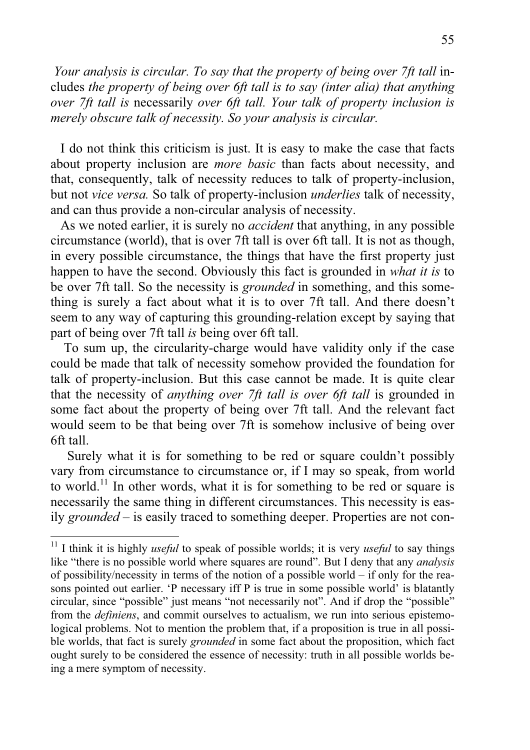*Your analysis is circular. To say that the property of being over 7ft tall in*cludes *the property of being over 6ft tall is to say (inter alia) that anything over 7ft tall is* necessarily *over 6ft tall. Your talk of property inclusion is merely obscure talk of necessity. So your analysis is circular.* 

 I do not think this criticism is just. It is easy to make the case that facts about property inclusion are *more basic* than facts about necessity, and that, consequently, talk of necessity reduces to talk of property-inclusion, but not *vice versa.* So talk of property-inclusion *underlies* talk of necessity, and can thus provide a non-circular analysis of necessity.

 As we noted earlier, it is surely no *accident* that anything, in any possible circumstance (world), that is over 7ft tall is over 6ft tall. It is not as though, in every possible circumstance, the things that have the first property just happen to have the second. Obviously this fact is grounded in *what it is* to be over 7ft tall. So the necessity is *grounded* in something, and this something is surely a fact about what it is to over 7ft tall. And there doesn't seem to any way of capturing this grounding-relation except by saying that part of being over 7ft tall *is* being over 6ft tall.

 To sum up, the circularity-charge would have validity only if the case could be made that talk of necessity somehow provided the foundation for talk of property-inclusion. But this case cannot be made. It is quite clear that the necessity of *anything over 7ft tall is over 6ft tall* is grounded in some fact about the property of being over 7ft tall. And the relevant fact would seem to be that being over 7ft is somehow inclusive of being over 6ft tall.

 Surely what it is for something to be red or square couldn't possibly vary from circumstance to circumstance or, if I may so speak, from world to world.<sup>11</sup> In other words, what it is for something to be red or square is necessarily the same thing in different circumstances. This necessity is easily *grounded* – is easily traced to something deeper. Properties are not con-

<sup>&</sup>lt;sup>11</sup> I think it is highly *useful* to speak of possible worlds; it is very *useful* to say things like "there is no possible world where squares are round". But I deny that any *analysis* of possibility/necessity in terms of the notion of a possible world – if only for the reasons pointed out earlier. 'P necessary iff P is true in some possible world' is blatantly circular, since "possible" just means "not necessarily not". And if drop the "possible" from the *definiens*, and commit ourselves to actualism, we run into serious epistemological problems. Not to mention the problem that, if a proposition is true in all possible worlds, that fact is surely *grounded* in some fact about the proposition, which fact ought surely to be considered the essence of necessity: truth in all possible worlds being a mere symptom of necessity.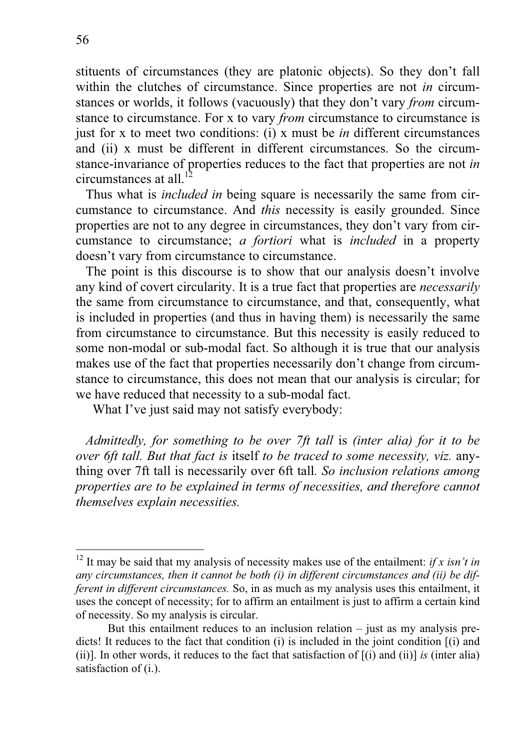stituents of circumstances (they are platonic objects). So they don't fall within the clutches of circumstance. Since properties are not *in* circumstances or worlds, it follows (vacuously) that they don't vary *from* circumstance to circumstance. For x to vary *from* circumstance to circumstance is just for x to meet two conditions: (i) x must be *in* different circumstances and (ii) x must be different in different circumstances. So the circumstance-invariance of properties reduces to the fact that properties are not *in* circumstances at all. $\overline{1}$ 

 Thus what is *included in* being square is necessarily the same from circumstance to circumstance. And *this* necessity is easily grounded. Since properties are not to any degree in circumstances, they don't vary from circumstance to circumstance; *a fortiori* what is *included* in a property doesn't vary from circumstance to circumstance.

 The point is this discourse is to show that our analysis doesn't involve any kind of covert circularity. It is a true fact that properties are *necessarily*  the same from circumstance to circumstance, and that, consequently, what is included in properties (and thus in having them) is necessarily the same from circumstance to circumstance. But this necessity is easily reduced to some non-modal or sub-modal fact. So although it is true that our analysis makes use of the fact that properties necessarily don't change from circumstance to circumstance, this does not mean that our analysis is circular; for we have reduced that necessity to a sub-modal fact.

What I've just said may not satisfy everybody:

*Admittedly, for something to be over 7ft tall* is *(inter alia) for it to be over 6ft tall. But that fact is* itself *to be traced to some necessity, viz.* anything over 7ft tall is necessarily over 6ft tall*. So inclusion relations among properties are to be explained in terms of necessities, and therefore cannot themselves explain necessities.* 

<sup>&</sup>lt;sup>12</sup> It may be said that my analysis of necessity makes use of the entailment: *if x isn't in any circumstances, then it cannot be both (i) in different circumstances and (ii) be different in different circumstances.* So, in as much as my analysis uses this entailment, it uses the concept of necessity; for to affirm an entailment is just to affirm a certain kind of necessity. So my analysis is circular.

But this entailment reduces to an inclusion relation – just as my analysis predicts! It reduces to the fact that condition (i) is included in the joint condition [(i) and (ii)]. In other words, it reduces to the fact that satisfaction of [(i) and (ii)] *is* (inter alia) satisfaction of (i.).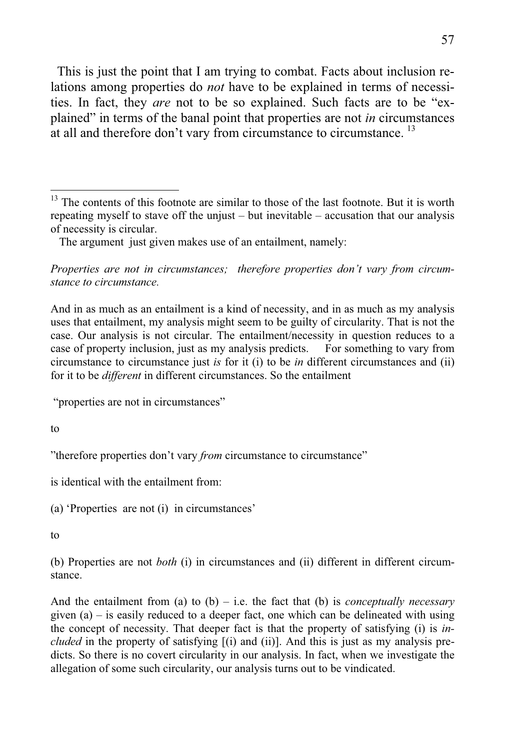This is just the point that I am trying to combat. Facts about inclusion relations among properties do *not* have to be explained in terms of necessities. In fact, they *are* not to be so explained. Such facts are to be "explained" in terms of the banal point that properties are not *in* circumstances at all and therefore don't vary from circumstance to circumstance.<sup>13</sup>

*Properties are not in circumstances; therefore properties don't vary from circumstance to circumstance.*

And in as much as an entailment is a kind of necessity, and in as much as my analysis uses that entailment, my analysis might seem to be guilty of circularity. That is not the case. Our analysis is not circular. The entailment/necessity in question reduces to a case of property inclusion, just as my analysis predicts. For something to vary from circumstance to circumstance just *is* for it (i) to be *in* different circumstances and (ii) for it to be *different* in different circumstances. So the entailment

"properties are not in circumstances"

to

"therefore properties don't vary *from* circumstance to circumstance"

is identical with the entailment from:

(a) 'Properties are not (i) in circumstances'

to

(b) Properties are not *both* (i) in circumstances and (ii) different in different circumstance.

And the entailment from (a) to (b) – i.e. the fact that (b) is *conceptually necessary*  given  $(a)$  – is easily reduced to a deeper fact, one which can be delineated with using the concept of necessity. That deeper fact is that the property of satisfying (i) is *included* in the property of satisfying [(i) and (ii)]. And this is just as my analysis predicts. So there is no covert circularity in our analysis. In fact, when we investigate the allegation of some such circularity, our analysis turns out to be vindicated.

 $13$  The contents of this footnote are similar to those of the last footnote. But it is worth repeating myself to stave off the unjust – but inevitable – accusation that our analysis of necessity is circular.

The argument just given makes use of an entailment, namely: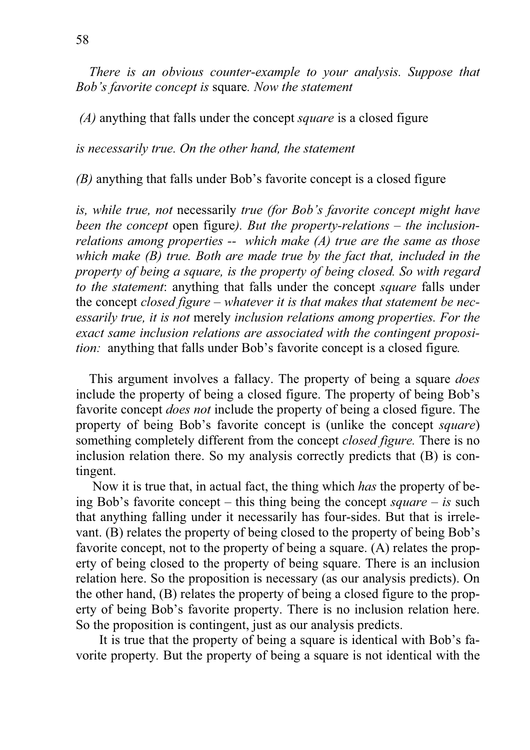*There is an obvious counter-example to your analysis. Suppose that Bob's favorite concept is* square*. Now the statement* 

 *(A)* anything that falls under the concept *square* is a closed figure

*is necessarily true. On the other hand, the statement* 

*(B)* anything that falls under Bob's favorite concept is a closed figure

*is, while true, not* necessarily *true (for Bob's favorite concept might have been the concept* open figure*). But the property-relations – the inclusionrelations among properties -- which make (A) true are the same as those which make (B) true. Both are made true by the fact that, included in the property of being a square, is the property of being closed. So with regard to the statement*: anything that falls under the concept *square* falls under the concept *closed figure – whatever it is that makes that statement be necessarily true, it is not* merely *inclusion relations among properties. For the exact same inclusion relations are associated with the contingent proposition:* anything that falls under Bob's favorite concept is a closed figure*.*

 This argument involves a fallacy. The property of being a square *does* include the property of being a closed figure. The property of being Bob's favorite concept *does not* include the property of being a closed figure. The property of being Bob's favorite concept is (unlike the concept *square*) something completely different from the concept *closed figure.* There is no inclusion relation there. So my analysis correctly predicts that (B) is contingent.

 Now it is true that, in actual fact, the thing which *has* the property of being Bob's favorite concept – this thing being the concept *square* – *is* such that anything falling under it necessarily has four-sides. But that is irrelevant. (B) relates the property of being closed to the property of being Bob's favorite concept, not to the property of being a square. (A) relates the property of being closed to the property of being square. There is an inclusion relation here. So the proposition is necessary (as our analysis predicts). On the other hand, (B) relates the property of being a closed figure to the property of being Bob's favorite property. There is no inclusion relation here. So the proposition is contingent, just as our analysis predicts.

 It is true that the property of being a square is identical with Bob's favorite property*.* But the property of being a square is not identical with the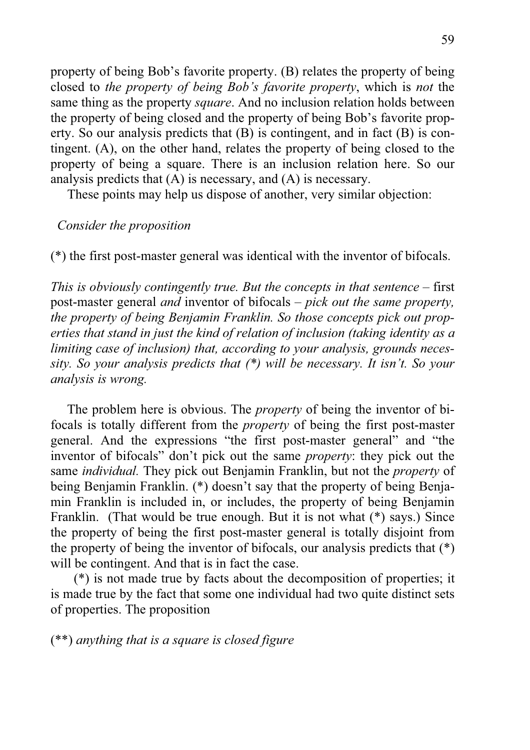property of being Bob's favorite property. (B) relates the property of being closed to *the property of being Bob's favorite property*, which is *not* the same thing as the property *square*. And no inclusion relation holds between the property of being closed and the property of being Bob's favorite property. So our analysis predicts that (B) is contingent, and in fact (B) is contingent. (A), on the other hand, relates the property of being closed to the property of being a square. There is an inclusion relation here. So our analysis predicts that (A) is necessary, and (A) is necessary.

These points may help us dispose of another, very similar objection:

## *Consider the proposition*

(\*) the first post-master general was identical with the inventor of bifocals.

*This is obviously contingently true. But the concepts in that sentence – first* post-master general *and* inventor of bifocals *– pick out the same property, the property of being Benjamin Franklin. So those concepts pick out properties that stand in just the kind of relation of inclusion (taking identity as a limiting case of inclusion) that, according to your analysis, grounds necessity. So your analysis predicts that (\*) will be necessary. It isn't. So your analysis is wrong.*

 The problem here is obvious. The *property* of being the inventor of bifocals is totally different from the *property* of being the first post-master general. And the expressions "the first post-master general" and "the inventor of bifocals" don't pick out the same *property*: they pick out the same *individual.* They pick out Benjamin Franklin, but not the *property* of being Benjamin Franklin. (\*) doesn't say that the property of being Benjamin Franklin is included in, or includes, the property of being Benjamin Franklin. (That would be true enough. But it is not what (\*) says.) Since the property of being the first post-master general is totally disjoint from the property of being the inventor of bifocals, our analysis predicts that (\*) will be contingent. And that is in fact the case.

 (\*) is not made true by facts about the decomposition of properties; it is made true by the fact that some one individual had two quite distinct sets of properties. The proposition

(\*\*) *anything that is a square is closed figure*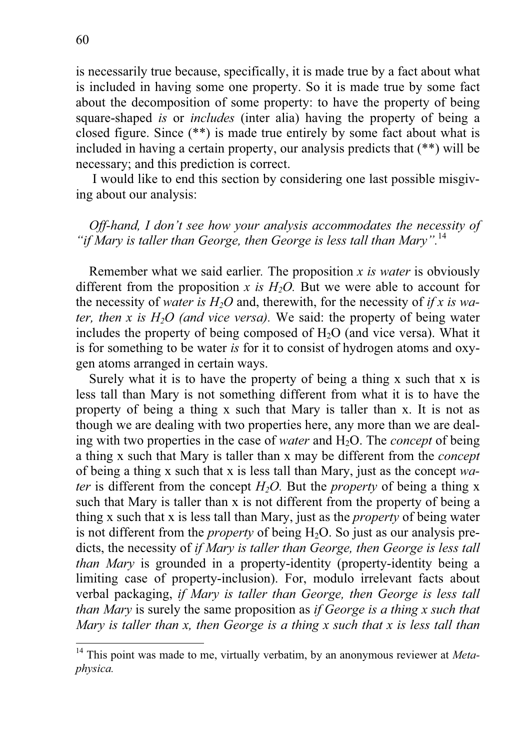is necessarily true because, specifically, it is made true by a fact about what is included in having some one property. So it is made true by some fact about the decomposition of some property: to have the property of being square-shaped *is* or *includes* (inter alia) having the property of being a closed figure. Since (\*\*) is made true entirely by some fact about what is included in having a certain property, our analysis predicts that (\*\*) will be necessary; and this prediction is correct.

 I would like to end this section by considering one last possible misgiving about our analysis:

*Off-hand, I don't see how your analysis accommodates the necessity of "if Mary is taller than George, then George is less tall than Mary".*<sup>14</sup>

 Remember what we said earlier*.* The proposition *x is water* is obviously different from the proposition *x is H<sub>2</sub>O*. But we were able to account for the necessity of *water is H2O* and, therewith, for the necessity of *if x is water, then x is H<sub>2</sub>O (and vice versa).* We said: the property of being water includes the property of being composed of  $H_2O$  (and vice versa). What it is for something to be water *is* for it to consist of hydrogen atoms and oxygen atoms arranged in certain ways.

 Surely what it is to have the property of being a thing x such that x is less tall than Mary is not something different from what it is to have the property of being a thing x such that Mary is taller than x. It is not as though we are dealing with two properties here, any more than we are dealing with two properties in the case of *water* and H<sub>2</sub>O. The *concept* of being a thing x such that Mary is taller than x may be different from the *concept* of being a thing x such that x is less tall than Mary, just as the concept *water* is different from the concept  $H_2O$ . But the *property* of being a thing x such that Mary is taller than x is not different from the property of being a thing x such that x is less tall than Mary, just as the *property* of being water is not different from the *property* of being  $H_2O$ . So just as our analysis predicts, the necessity of *if Mary is taller than George, then George is less tall than Mary* is grounded in a property-identity (property-identity being a limiting case of property-inclusion). For, modulo irrelevant facts about verbal packaging, *if Mary is taller than George, then George is less tall than Mary* is surely the same proposition as *if George is a thing x such that Mary is taller than x, then George is a thing x such that x is less tall than* 

<sup>&</sup>lt;sup>14</sup> This point was made to me, virtually verbatim, by an anonymous reviewer at *Metaphysica.*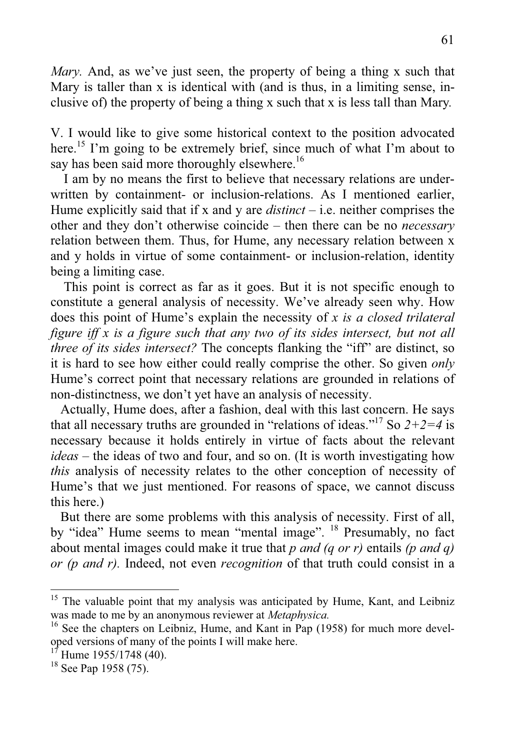*Mary.* And, as we've just seen, the property of being a thing x such that Mary is taller than x is identical with (and is thus, in a limiting sense, inclusive of) the property of being a thing x such that x is less tall than Mary*.*

V. I would like to give some historical context to the position advocated here.<sup>15</sup> I'm going to be extremely brief, since much of what I'm about to say has been said more thoroughly elsewhere.<sup>16</sup>

 I am by no means the first to believe that necessary relations are underwritten by containment*-* or inclusion-relations. As I mentioned earlier, Hume explicitly said that if x and y are *distinct* – i.e. neither comprises the other and they don't otherwise coincide – then there can be no *necessary*  relation between them. Thus, for Hume, any necessary relation between x and y holds in virtue of some containment- or inclusion-relation, identity being a limiting case.

 This point is correct as far as it goes. But it is not specific enough to constitute a general analysis of necessity. We've already seen why. How does this point of Hume's explain the necessity of *x is a closed trilateral figure iff x is a figure such that any two of its sides intersect, but not all three of its sides intersect?* The concepts flanking the "iff" are distinct, so it is hard to see how either could really comprise the other. So given *only* Hume's correct point that necessary relations are grounded in relations of non-distinctness, we don't yet have an analysis of necessity.

 Actually, Hume does, after a fashion, deal with this last concern. He says that all necessary truths are grounded in "relations of ideas."<sup>17</sup> So  $2+2=4$  is necessary because it holds entirely in virtue of facts about the relevant *ideas* – the ideas of two and four, and so on. (It is worth investigating how *this* analysis of necessity relates to the other conception of necessity of Hume's that we just mentioned. For reasons of space, we cannot discuss this here.)

 But there are some problems with this analysis of necessity. First of all, by "idea" Hume seems to mean "mental image". <sup>18</sup> Presumably, no fact about mental images could make it true that *p and (q or r)* entails *(p and q) or (p and r).* Indeed, not even *recognition* of that truth could consist in a

 $15$  The valuable point that my analysis was anticipated by Hume, Kant, and Leibniz was made to me by an anonymous reviewer at *Metaphysica.*

 $16$  See the chapters on Leibniz, Hume, and Kant in Pap (1958) for much more developed versions of many of the points I will make here.

 $1^{17}$  Hume 1955/1748 (40).

 $18$  See Pap 1958 (75).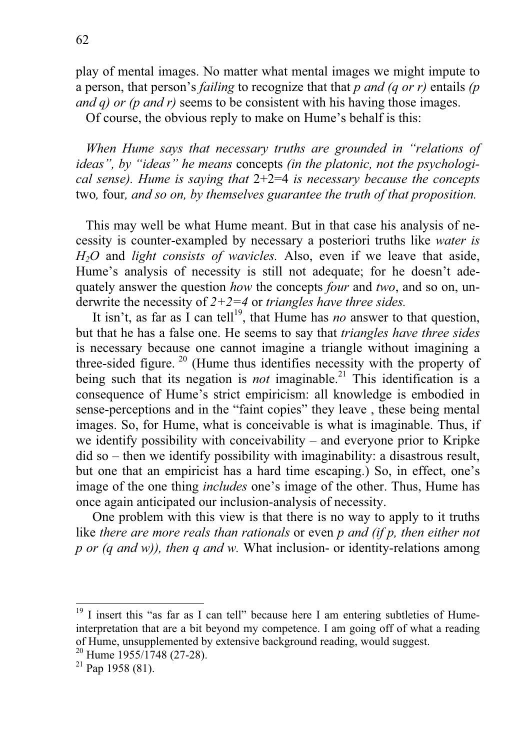play of mental images. No matter what mental images we might impute to a person, that person's *failing* to recognize that that *p and (q or r)* entails *(p and q) or (p and r)* seems to be consistent with his having those images.

Of course, the obvious reply to make on Hume's behalf is this:

*When Hume says that necessary truths are grounded in "relations of ideas", by "ideas" he means* concepts *(in the platonic, not the psychological sense). Hume is saying that* 2+2=4 *is necessary because the concepts*  two*,* four*, and so on, by themselves guarantee the truth of that proposition.* 

 This may well be what Hume meant. But in that case his analysis of necessity is counter-exampled by necessary a posteriori truths like *water is H2O* and *light consists of wavicles.* Also, even if we leave that aside, Hume's analysis of necessity is still not adequate; for he doesn't adequately answer the question *how* the concepts *four* and *two*, and so on, underwrite the necessity of *2+2=4* or *triangles have three sides.* 

It isn't, as far as I can tell<sup>19</sup>, that Hume has *no* answer to that question, but that he has a false one. He seems to say that *triangles have three sides*  is necessary because one cannot imagine a triangle without imagining a three-sided figure.<sup>20</sup> (Hume thus identifies necessity with the property of being such that its negation is *not* imaginable.<sup>21</sup> This identification is a consequence of Hume's strict empiricism: all knowledge is embodied in sense-perceptions and in the "faint copies" they leave , these being mental images. So, for Hume, what is conceivable is what is imaginable. Thus, if we identify possibility with conceivability – and everyone prior to Kripke did so – then we identify possibility with imaginability: a disastrous result, but one that an empiricist has a hard time escaping.) So, in effect, one's image of the one thing *includes* one's image of the other. Thus, Hume has once again anticipated our inclusion-analysis of necessity.

 One problem with this view is that there is no way to apply to it truths like *there are more reals than rationals* or even *p and (if p, then either not p or (q and w)), then q and w.* What inclusion- or identity-relations among

I insert this "as far as I can tell" because here I am entering subtleties of Humeinterpretation that are a bit beyond my competence. I am going off of what a reading of Hume, unsupplemented by extensive background reading, would suggest.

<sup>&</sup>lt;sup>20</sup> Hume 1955/1748 (27-28).

 $21$  Pap 1958 (81).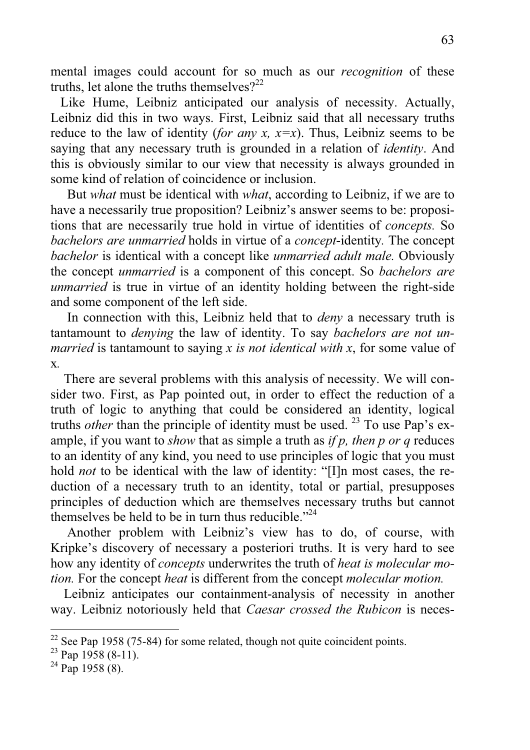mental images could account for so much as our *recognition* of these truths, let alone the truths themselves? $2^{22}$ 

 Like Hume, Leibniz anticipated our analysis of necessity. Actually, Leibniz did this in two ways. First, Leibniz said that all necessary truths reduce to the law of identity (*for any x, x=x*). Thus, Leibniz seems to be saying that any necessary truth is grounded in a relation of *identity*. And this is obviously similar to our view that necessity is always grounded in some kind of relation of coincidence or inclusion.

 But *what* must be identical with *what*, according to Leibniz, if we are to have a necessarily true proposition? Leibniz's answer seems to be: propositions that are necessarily true hold in virtue of identities of *concepts.* So *bachelors are unmarried* holds in virtue of a *concept*-identity*.* The concept *bachelor* is identical with a concept like *unmarried adult male.* Obviously the concept *unmarried* is a component of this concept. So *bachelors are unmarried* is true in virtue of an identity holding between the right-side and some component of the left side.

 In connection with this, Leibniz held that to *deny* a necessary truth is tantamount to *denying* the law of identity. To say *bachelors are not unmarried* is tantamount to saying *x is not identical with x*, for some value of x*.*

 There are several problems with this analysis of necessity. We will consider two. First, as Pap pointed out, in order to effect the reduction of a truth of logic to anything that could be considered an identity, logical truths *other* than the principle of identity must be used. <sup>23</sup> To use Pap's example, if you want to *show* that as simple a truth as *if p, then p or q* reduces to an identity of any kind, you need to use principles of logic that you must hold *not* to be identical with the law of identity: "[I]n most cases, the reduction of a necessary truth to an identity, total or partial, presupposes principles of deduction which are themselves necessary truths but cannot themselves be held to be in turn thus reducible."<sup>24</sup>

 Another problem with Leibniz's view has to do, of course, with Kripke's discovery of necessary a posteriori truths. It is very hard to see how any identity of *concepts* underwrites the truth of *heat is molecular motion.* For the concept *heat* is different from the concept *molecular motion.* 

 Leibniz anticipates our containment-analysis of necessity in another way. Leibniz notoriously held that *Caesar crossed the Rubicon* is neces-

 $22$  See Pap 1958 (75-84) for some related, though not quite coincident points.

 $23$  Pap 1958 (8-11).

 $^{24}$  Pap 1958 (8).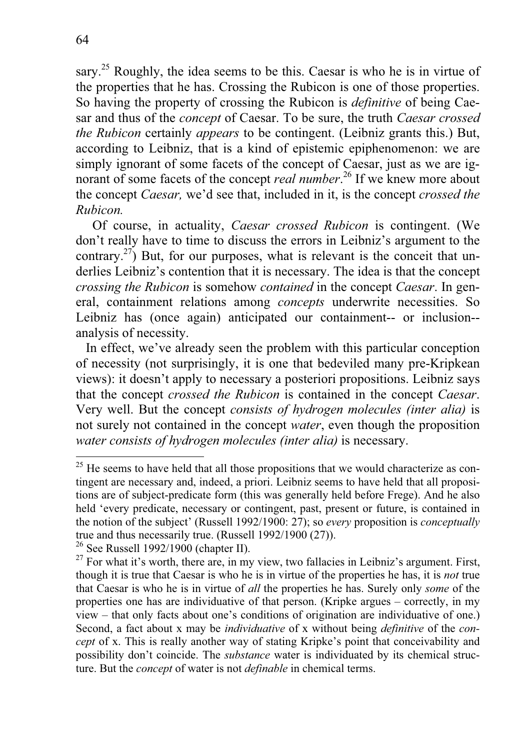sary.<sup>25</sup> Roughly, the idea seems to be this. Caesar is who he is in virtue of the properties that he has. Crossing the Rubicon is one of those properties. So having the property of crossing the Rubicon is *definitive* of being Caesar and thus of the *concept* of Caesar. To be sure, the truth *Caesar crossed the Rubicon* certainly *appears* to be contingent. (Leibniz grants this.) But, according to Leibniz, that is a kind of epistemic epiphenomenon: we are simply ignorant of some facets of the concept of Caesar, just as we are ignorant of some facets of the concept *real number*. 26 If we knew more about the concept *Caesar,* we'd see that, included in it, is the concept *crossed the Rubicon.*

 Of course, in actuality, *Caesar crossed Rubicon* is contingent. (We don't really have to time to discuss the errors in Leibniz's argument to the contrary.<sup>27</sup>) But, for our purposes, what is relevant is the conceit that underlies Leibniz's contention that it is necessary. The idea is that the concept *crossing the Rubicon* is somehow *contained* in the concept *Caesar*. In general, containment relations among *concepts* underwrite necessities. So Leibniz has (once again) anticipated our containment-- or inclusion- analysis of necessity.

 In effect, we've already seen the problem with this particular conception of necessity (not surprisingly, it is one that bedeviled many pre-Kripkean views): it doesn't apply to necessary a posteriori propositions. Leibniz says that the concept *crossed the Rubicon* is contained in the concept *Caesar*. Very well. But the concept *consists of hydrogen molecules (inter alia)* is not surely not contained in the concept *water*, even though the proposition *water consists of hydrogen molecules (inter alia)* is necessary.

 $25$  He seems to have held that all those propositions that we would characterize as contingent are necessary and, indeed, a priori. Leibniz seems to have held that all propositions are of subject-predicate form (this was generally held before Frege). And he also held 'every predicate, necessary or contingent, past, present or future, is contained in the notion of the subject' (Russell 1992/1900: 27); so *every* proposition is *conceptually* true and thus necessarily true. (Russell 1992/1900 (27)).

<sup>26</sup> See Russell 1992/1900 (chapter II).

 $27$  For what it's worth, there are, in my view, two fallacies in Leibniz's argument. First, though it is true that Caesar is who he is in virtue of the properties he has, it is *not* true that Caesar is who he is in virtue of *all* the properties he has. Surely only *some* of the properties one has are individuative of that person. (Kripke argues – correctly, in my view – that only facts about one's conditions of origination are individuative of one.) Second, a fact about x may be *individuative* of x without being *definitive* of the *concept* of x. This is really another way of stating Kripke's point that conceivability and possibility don't coincide. The *substance* water is individuated by its chemical structure. But the *concept* of water is not *definable* in chemical terms.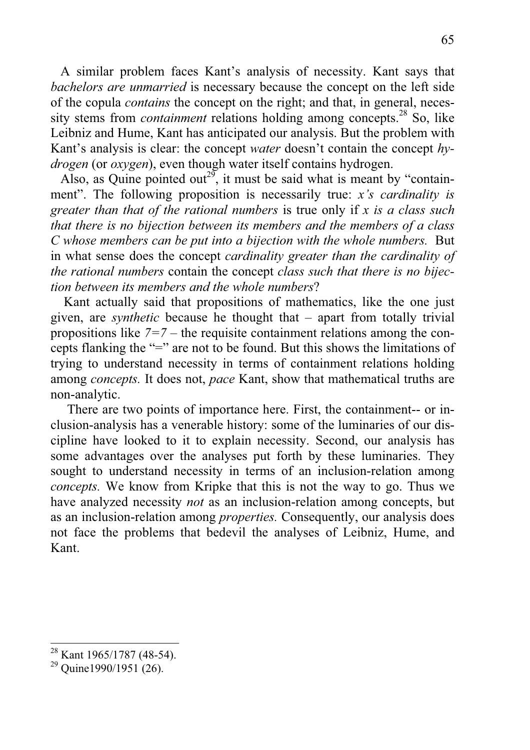A similar problem faces Kant's analysis of necessity. Kant says that *bachelors are unmarried* is necessary because the concept on the left side of the copula *contains* the concept on the right; and that, in general, necessity stems from *containment* relations holding among concepts.<sup>28</sup> So, like Leibniz and Hume, Kant has anticipated our analysis. But the problem with Kant's analysis is clear: the concept *water* doesn't contain the concept *hydrogen* (or *oxygen*), even though water itself contains hydrogen.

Also, as Quine pointed out<sup>29</sup>, it must be said what is meant by "containment". The following proposition is necessarily true: *x's cardinality is greater than that of the rational numbers* is true only if *x is a class such that there is no bijection between its members and the members of a class C whose members can be put into a bijection with the whole numbers.* But in what sense does the concept *cardinality greater than the cardinality of the rational numbers* contain the concept *class such that there is no bijection between its members and the whole numbers*?

 Kant actually said that propositions of mathematics, like the one just given, are *synthetic* because he thought that – apart from totally trivial propositions like *7=7 –* the requisite containment relations among the concepts flanking the "=" are not to be found. But this shows the limitations of trying to understand necessity in terms of containment relations holding among *concepts.* It does not, *pace* Kant, show that mathematical truths are non-analytic.

 There are two points of importance here. First, the containment-- or inclusion-analysis has a venerable history: some of the luminaries of our discipline have looked to it to explain necessity. Second, our analysis has some advantages over the analyses put forth by these luminaries. They sought to understand necessity in terms of an inclusion-relation among *concepts.* We know from Kripke that this is not the way to go. Thus we have analyzed necessity *not* as an inclusion-relation among concepts, but as an inclusion-relation among *properties.* Consequently, our analysis does not face the problems that bedevil the analyses of Leibniz, Hume, and Kant.

 $28$  Kant 1965/1787 (48-54).

 $29$  Quine1990/1951 (26).